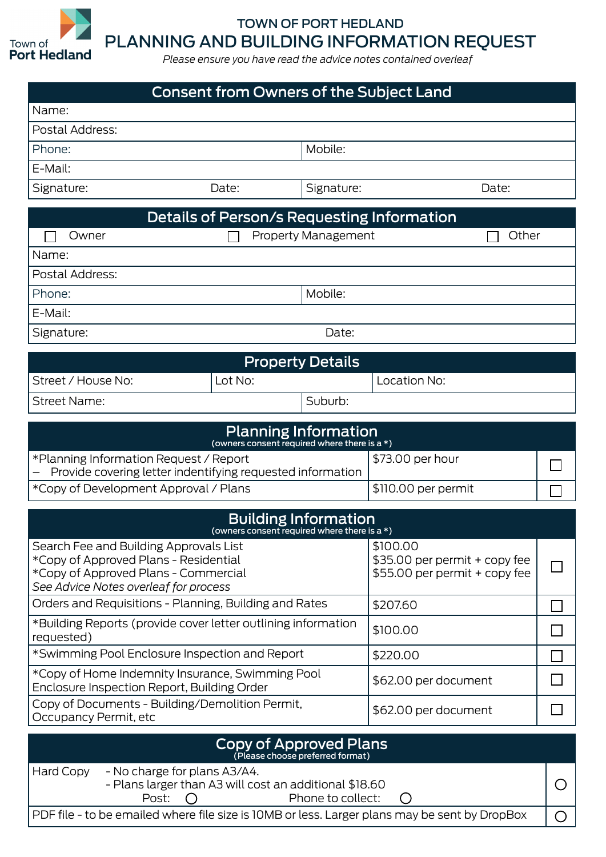

## TOWN OF PORT HEDLAND PLANNING AND BUILDING INFORMATION REQUEST

*Please ensure you have read the advice notes contained overleaf*

| <b>Consent from Owners of the Subject Land</b>                                                      |         |                      |                                                                |     |  |
|-----------------------------------------------------------------------------------------------------|---------|----------------------|----------------------------------------------------------------|-----|--|
| Name:                                                                                               |         |                      |                                                                |     |  |
| Postal Address:                                                                                     |         |                      |                                                                |     |  |
| Phone:                                                                                              |         | Mobile:              |                                                                |     |  |
| E-Mail:                                                                                             |         |                      |                                                                |     |  |
| Signature:                                                                                          | Date:   | Signature:           | Date:                                                          |     |  |
| Details of Person/s Requesting Information                                                          |         |                      |                                                                |     |  |
| <b>Property Management</b><br>Owner                                                                 |         |                      | Other                                                          |     |  |
| Name:                                                                                               |         |                      |                                                                |     |  |
| Postal Address:                                                                                     |         |                      |                                                                |     |  |
| Mobile:<br>Phone:                                                                                   |         |                      |                                                                |     |  |
| E-Mail:                                                                                             |         |                      |                                                                |     |  |
| Date:<br>Signature:                                                                                 |         |                      |                                                                |     |  |
| <b>Property Details</b>                                                                             |         |                      |                                                                |     |  |
| Street / House No:                                                                                  | Lot No: |                      | Location No:                                                   |     |  |
| <b>Street Name:</b>                                                                                 |         | Suburb:              |                                                                |     |  |
|                                                                                                     |         |                      |                                                                |     |  |
| <b>Planning Information</b><br>(owners consent required where there is a *)                         |         |                      |                                                                |     |  |
| *Planning Information Request / Report                                                              |         |                      | \$73.00 per hour                                               |     |  |
| Provide covering letter indentifying requested information<br>*Copy of Development Approval / Plans |         |                      | \$110.00 per permit                                            |     |  |
|                                                                                                     |         |                      |                                                                |     |  |
| <b>Building Information</b><br>(owners consent required where there is a *)                         |         |                      |                                                                |     |  |
| Search Fee and Building Approvals List                                                              |         |                      | \$100.00                                                       |     |  |
| *Copy of Approved Plans - Residential<br>*Copy of Approved Plans - Commercial                       |         |                      | \$35.00 per permit + copy fee<br>\$55.00 per permit + copy fee |     |  |
| See Advice Notes overleaf for process                                                               |         |                      |                                                                |     |  |
| Orders and Requisitions - Planning, Building and Rates                                              |         |                      | \$207.60                                                       |     |  |
| *Building Reports (provide cover letter outlining information<br>requested)                         |         |                      | \$100.00                                                       |     |  |
| *Swimming Pool Enclosure Inspection and Report                                                      |         |                      | \$220.00                                                       |     |  |
| *Copy of Home Indemnity Insurance, Swimming Pool<br>Enclosure Inspection Report, Building Order     |         | \$62.00 per document |                                                                |     |  |
| Copy of Documents - Building/Demolition Permit,<br>Occupancy Permit, etc                            |         |                      | \$62.00 per document                                           |     |  |
| Copy of Approved Plans                                                                              |         |                      |                                                                |     |  |
| (Please choose preferred format)                                                                    |         |                      |                                                                |     |  |
| - No charge for plans A3/A4.<br>Hard Copy<br>- Plans larger than A3 will cost an additional \$18.60 |         |                      |                                                                | ( ) |  |
| Phone to collect:<br>Post:                                                                          |         |                      |                                                                |     |  |
| PDF file - to be emailed where file size is 10MB or less. Larger plans may be sent by DropBox<br>∩  |         |                      |                                                                |     |  |